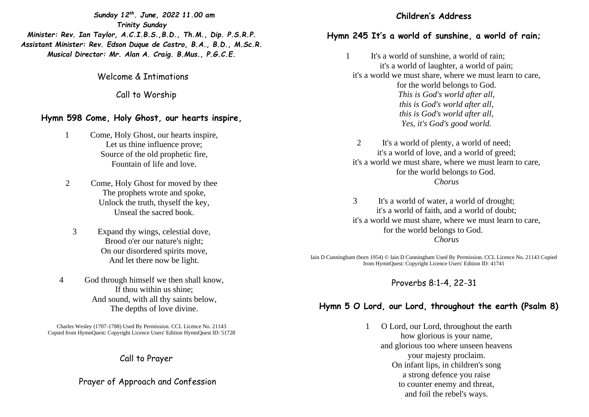*Sunday 12th. June, 2022 11.00 am Trinity Sunday Minister: Rev. Ian Taylor, A.C.I.B.S.,B.D., Th.M., Dip. P.S.R.P. Assistant Minister: Rev. Edson Duque de Castro, B.A., B.D., M.Sc.R. Musical Director: Mr. Alan A. Craig. B.Mus., P.G.C.E.*

Welcome & Intimations

Call to Worship

#### **Hymn 598 Come, Holy Ghost, our hearts inspire,**

- 1 Come, Holy Ghost, our hearts inspire, Let us thine influence prove; Source of the old prophetic fire, Fountain of life and love.
- 2 Come, Holy Ghost for moved by thee The prophets wrote and spoke, Unlock the truth, thyself the key, Unseal the sacred book.
	- 3 Expand thy wings, celestial dove, Brood o'er our nature's night; On our disordered spirits move, And let there now be light.
- 4 God through himself we then shall know, If thou within us shine; And sound, with all thy saints below, The depths of love divine.

Charles Wesley (1707-1788) Used By Permission. CCL Licence No. 21143 Copied from HymnQuest: Copyright Licence Users' Edition HymnQuest ID: 51728

## Call to Prayer

Prayer of Approach and Confession

#### **Children's Address**

#### **Hymn 245 It's a world of sunshine, a world of rain;**

1 It's a world of sunshine, a world of rain; it's a world of laughter, a world of pain; it's a world we must share, where we must learn to care, for the world belongs to God. *This is God's world after all, this is God's world after all, this is God's world after all, Yes, it's God's good world.* 

2 It's a world of plenty, a world of need; it's a world of love, and a world of greed; it's a world we must share, where we must learn to care, for the world belongs to God. *Chorus* 

3 It's a world of water, a world of drought; it's a world of faith, and a world of doubt; it's a world we must share, where we must learn to care, for the world belongs to God. *Chorus* 

Iain D Cunningham (born 1954) © Iain D Cunningham Used By Permission. CCL Licence No. 21143 Copied from HymnQuest: Copyright Licence Users' Edition ID: 41741

## Proverbs 8:1-4, 22-31

# **Hymn 5 O Lord, our Lord, throughout the earth (Psalm 8)**

1 O Lord, our Lord, throughout the earth how glorious is your name, and glorious too where unseen heavens your majesty proclaim. On infant lips, in children's song a strong defence you raise to counter enemy and threat, and foil the rebel's ways.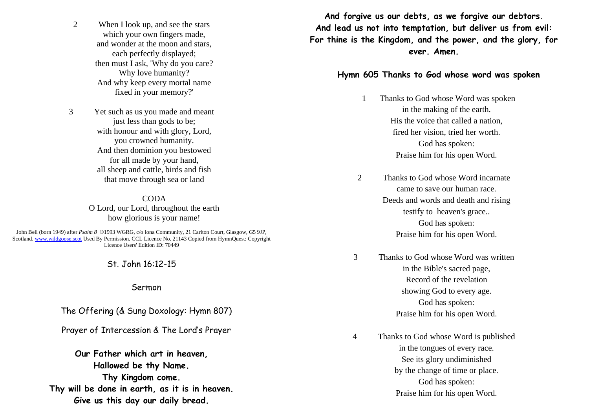2 When I look up, and see the stars which your own fingers made, and wonder at the moon and stars, each perfectly displayed; then must I ask, 'Why do you care? Why love humanity? And why keep every mortal name fixed in your memory?'

3 Yet such as us you made and meant just less than gods to be; with honour and with glory, Lord, you crowned humanity. And then dominion you bestowed for all made by your hand, all sheep and cattle, birds and fish that move through sea or land

> **CODA** O Lord, our Lord, throughout the earth how glorious is your name!

John Bell (born 1949) after *Psalm 8* ©1993 WGRG, c/o Iona Community, 21 Carlton Court, Glasgow, G5 9JP, Scotland. [www.wildgoose.scot](http://www.wildgoose.scot/) Used By Permission. CCL Licence No. 21143 Copied from HymnQuest: Copyright Licence Users' Edition ID: 70449

St. John 16:12-15

Sermon

The Offering (& Sung Doxology: Hymn 807)

Prayer of Intercession & The Lord's Prayer

**Our Father which art in heaven, Hallowed be thy Name. Thy Kingdom come. Thy will be done in earth, as it is in heaven. Give us this day our daily bread.**

**And forgive us our debts, as we forgive our debtors. And lead us not into temptation, but deliver us from evil: For thine is the Kingdom, and the power, and the glory, for ever. Amen.**

#### **Hymn 605 Thanks to God whose word was spoken**

- 1 Thanks to God whose Word was spoken in the making of the earth. His the voice that called a nation, fired her vision, tried her worth. God has spoken: Praise him for his open Word.
- 2 Thanks to God whose Word incarnate came to save our human race. Deeds and words and death and rising testify to heaven's grace.. God has spoken: Praise him for his open Word.
- 3 Thanks to God whose Word was written in the Bible's sacred page, Record of the revelation showing God to every age. God has spoken: Praise him for his open Word.
- 4 Thanks to God whose Word is published in the tongues of every race. See its glory undiminished by the change of time or place. God has spoken: Praise him for his open Word.